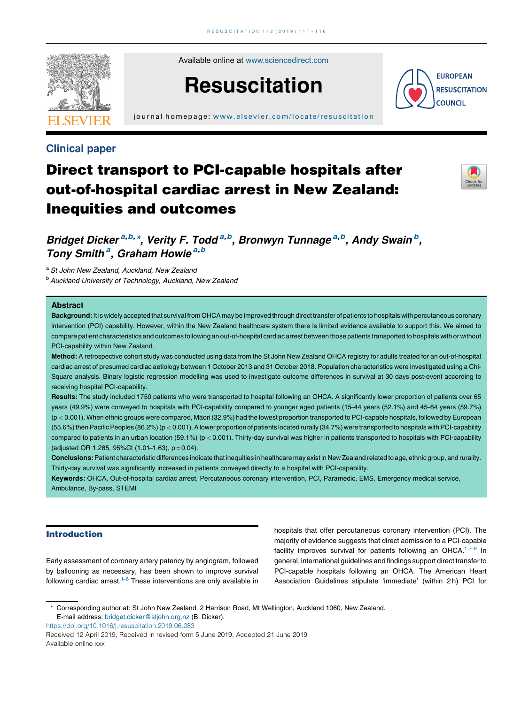

Available online at [www.sciencedirect.com](http://www.sciencedirect.com/science/journal/03009572)

# **Resuscitation**

j ournal home page: [www.elsevier.com/locate/resus](www.elsevier.com/locate/resuscitation) citation

## Clinical paper

## Direct transport to PCI-capable hospitals after out-of-hospital cardiac arrest in New Zealand: Inequities and outcomes



**EUROPEAN RESUSCITATION COUNCIL** 

## Bridget Dicker<sup>a,b,\*</sup>, Verity F. Todd<sup>a,b</sup>, Bronwyn Tunnage<sup>a,b</sup>, Andy Swain<sup>b</sup>, Tony Smith<sup>a</sup>, Graham Howie<sup>a,b</sup>

a St John New Zealand, Auckland, New Zealand

b Auckland University of Technology, Auckland, New Zealand

#### Abstract

Background: It is widely accepted that survival from OHCA may be improved through direct transfer of patients to hospitals with percutaneous coronary intervention (PCI) capability. However, within the New Zealand healthcare system there is limited evidence available to support this. We aimed to compare patient characteristics and outcomes following an out-of-hospital cardiac arrest between those patients transported to hospitals with or without PCI-capability within New Zealand.

Method: A retrospective cohort study was conducted using data from the St John New Zealand OHCA registry for adults treated for an out-of-hospital cardiac arrest of presumed cardiac aetiology between 1 October 2013 and 31 October 2018. Population characteristics were investigated using a Chi-Square analysis. Binary logistic regression modelling was used to investigate outcome differences in survival at 30 days post-event according to receiving hospital PCI-capability.

Results: The study included 1750 patients who were transported to hospital following an OHCA. A significantly lower proportion of patients over 65 years (49.9%) were conveyed to hospitals with PCI-capability compared to younger aged patients (15–44 years (52.1%) and 45–64 years (59.7%) (p < 0.001). When ethnic groups were compared, Maori (32.9%) had the lowest proportion transported to PCI-capable hospitals, followed by European (55.6%) then Pacific Peoples (86.2%) (p < 0.001). A lower proportion of patients located rurally (34.7%) were transported to hospitals with PCI-capability compared to patients in an urban location (59.1%) (p < 0.001). Thirty-day survival was higher in patients transported to hospitals with PCI-capability (adjusted OR 1.285, 95%CI  $(1.01-1.63)$ ,  $p = 0.04$ ).

Conclusions: Patient characteristic differences indicate that inequities in healthcare may exist in New Zealand related to age, ethnic group, and rurality. Thirty-day survival was significantly increased in patients conveyed directly to a hospital with PCI-capability.

Keywords: OHCA, Out-of-hospital cardiac arrest, Percutaneous coronary intervention, PCI, Paramedic, EMS, Emergency medical service, Ambulance, By-pass, STEMI

## Introduction

Early assessment of coronary artery patency by angiogram, followed by ballooning as necessary, has been shown to improve survival following cardiac arrest.<sup>1–6</sup> These [interventions](#page-4-0) are only available in hospitals that offer percutaneous coronary intervention (PCI). The majority of evidence suggests that direct admission to a PCI-capable facility improves survival for patients following an OHCA.<sup>1,7-9</sup> In general, international guidelines and findings support direct transfer to PCI-capable hospitals following an OHCA. The American Heart Association Guidelines stipulate 'immediate' (within 2 h) PCI for

<https://doi.org/10.1016/j.resuscitation.2019.06.283>

Received 12 April 2019; Received in revised form 5 June 2019; Accepted 21 June 2019 Available online xxx

<sup>\*</sup> Corresponding author at: St John New Zealand, 2 Harrison Road, Mt Wellington, Auckland 1060, New Zealand. E-mail address: [bridget.dicker@stjohn.org.nz](mailto:bridget.dicker@stjohn.org.nz) (B. Dicker).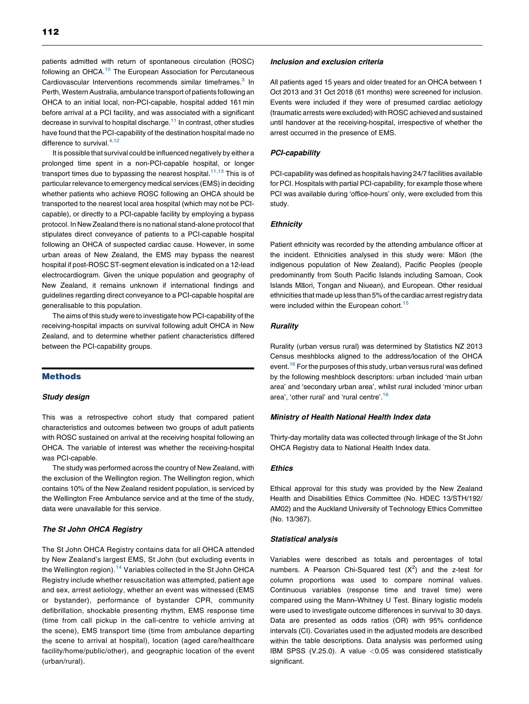patients admitted with return of spontaneous circulation (ROSC) following an OHCA.<sup>[10](#page-5-0)</sup> The European Association for Percutaneous Cardiovascular Interventions recommends similar timeframes.<sup>3</sup> In Perth, Western Australia, ambulance transport of patients following an OHCA to an initial local, non-PCI-capable, hospital added 161 min before arrival at a PCI facility, and was associated with a significant decrease in survival to hospital discharge. $11$  In contrast, other studies have found that the PCI-capability of the destination hospital made no difference to survival. $4,12$ 

It is possible that survival could be influenced negatively by either a prolonged time spent in a non-PCI-capable hospital, or longer transport times due to bypassing the nearest hospital. $11,13$  [This](#page-5-0) is of particular relevance to emergency medical services (EMS) in deciding whether patients who achieve ROSC following an OHCA should be transported to the nearest local area hospital (which may not be PCIcapable), or directly to a PCI-capable facility by employing a bypass protocol. In New Zealand there is no national stand-alone protocol that stipulates direct conveyance of patients to a PCI-capable hospital following an OHCA of suspected cardiac cause. However, in some urban areas of New Zealand, the EMS may bypass the nearest hospital if post-ROSC ST-segment elevation is indicated on a 12-lead electrocardiogram. Given the unique population and geography of New Zealand, it remains unknown if international findings and guidelines regarding direct conveyance to a PCI-capable hospital are generalisable to this population.

The aims of this study were to investigate how PCI-capability of the receiving-hospital impacts on survival following adult OHCA in New Zealand, and to determine whether patient characteristics differed between the PCI-capability groups.

### **Methods**

#### Study design

This was a retrospective cohort study that compared patient characteristics and outcomes between two groups of adult patients with ROSC sustained on arrival at the receiving hospital following an OHCA. The variable of interest was whether the receiving-hospital was PCI-capable.

The study was performed across the country of New Zealand, with the exclusion of the Wellington region. The Wellington region, which contains 10% of the New Zealand resident population, is serviced by the Wellington Free Ambulance service and at the time of the study, data were unavailable for this service.

#### The St John OHCA Registry

The St John OHCA Registry contains data for all OHCA attended by New Zealand's largest EMS, St John (but excluding events in the Wellington region).<sup>[14](#page-5-0)</sup> Variables collected in the St John OHCA Registry include whether resuscitation was attempted, patient age and sex, arrest aetiology, whether an event was witnessed (EMS or bystander), performance of bystander CPR, community defibrillation, shockable presenting rhythm, EMS response time (time from call pickup in the call-centre to vehicle arriving at the scene), EMS transport time (time from ambulance departing the scene to arrival at hospital), location (aged care/healthcare facility/home/public/other), and geographic location of the event (urban/rural).

#### Inclusion and exclusion criteria

All patients aged 15 years and older treated for an OHCA between 1 Oct 2013 and 31 Oct 2018 (61 months) were screened for inclusion. Events were included if they were of presumed cardiac aetiology (traumatic arrests were excluded) with ROSC achieved and sustained until handover at the receiving-hospital, irrespective of whether the arrest occurred in the presence of EMS.

#### PCI-capability

PCI-capability was defined as hospitals having 24/7 facilities available for PCI. Hospitals with partial PCI-capability, for example those where PCI was available during 'office-hours' only, were excluded from this study.

#### **Ethnicity**

Patient ethnicity was recorded by the attending ambulance officer at the incident. Ethnicities analysed in this study were: Maori (the indigenous population of New Zealand), Pacific Peoples (people predominantly from South Pacific Islands including Samoan, Cook Islands Maori, Tongan and Niuean), and European. Other residual ethnicities that made up less than 5% of the cardiac arrest registry data were included within the European cohort.<sup>[15](#page-5-0)</sup>

#### **Rurality**

Rurality (urban versus rural) was determined by Statistics NZ 2013 Census meshblocks aligned to the address/location of the OHCA event.<sup>[16](#page-5-0)</sup> For the purposes of this study, urban versus rural was defined by the following meshblock descriptors: urban included 'main urban area' and 'secondary urban area', whilst rural included 'minor urban area', 'other rural' and 'rural centre'. [16](#page-5-0)

#### Ministry of Health National Health Index data

Thirty-day mortality data was collected through linkage of the St John OHCA Registry data to National Health Index data.

#### **Ethics**

Ethical approval for this study was provided by the New Zealand Health and Disabilities Ethics Committee (No. HDEC 13/STH/192/ AM02) and the Auckland University of Technology Ethics Committee (No. 13/367).

#### Statistical analysis

Variables were described as totals and percentages of total numbers. A Pearson Chi-Squared test  $(X^2)$  and the z-test for column proportions was used to compare nominal values. Continuous variables (response time and travel time) were compared using the Mann–Whitney U Test. Binary logistic models were used to investigate outcome differences in survival to 30 days. Data are presented as odds ratios (OR) with 95% confidence intervals (CI). Covariates used in the adjusted models are described within the table descriptions. Data analysis was performed using IBM SPSS (V.25.0). A value <0.05 was considered statistically significant.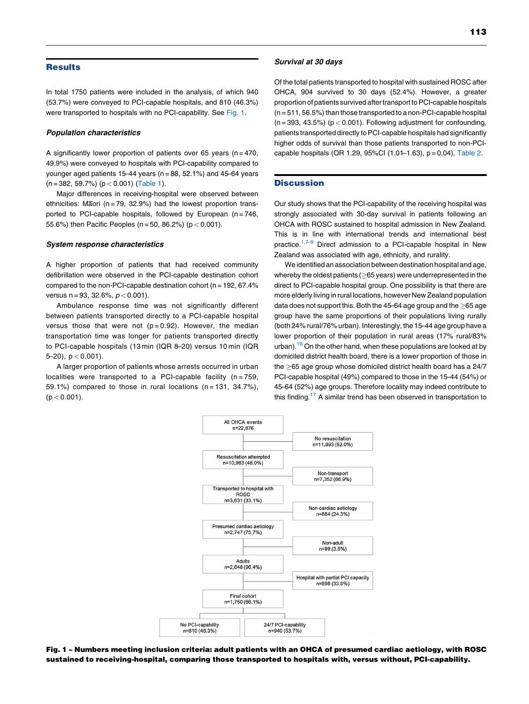#### **Results**

In total 1750 patients were included in the analysis, of which 940 (53.7%) were conveyed to PCI-capable hospitals, and 810 (46.3%) were transported to hospitals with no PCI-capability. See Fig. 1.

#### Population characteristics

A significantly lower proportion of patients over 65 years ( $n = 470$ , 49.9%) were conveyed to hospitals with PCI-capability compared to younger aged patients 15–44 years ( $n = 88$ , 52.1%) and 45–64 years  $(n = 382, 59.7%)$  ( $p < 0.001$ ) [\(Table](#page-3-0) 1).

Major differences in receiving-hospital were observed between ethnicities: Maori ( $n = 79$ , 32.9%) had the lowest proportion transported to PCI-capable hospitals, followed by European  $(n = 746)$ , 55.6%) then Pacific Peoples (n = 50, 86.2%) (p < 0.001).

#### System response characteristics

A higher proportion of patients that had received community defibrillation were observed in the PCI-capable destination cohort compared to the non-PCI-capable destination cohort ( $n = 192, 67.4\%$ versus  $n = 93, 32.6\%, p < 0.001$ ).

Ambulance response time was not significantly different between patients transported directly to a PCI-capable hospital versus those that were not  $(p=0.92)$ . However, the median transportation time was longer for patients transported directly to PCI-capable hospitals (13 min (IQR 8–20) versus 10 min (IQR  $5-20$ ,  $p < 0.001$ ).

A larger proportion of patients whose arrests occurred in urban localities were transported to a PCI-capable facility  $(n = 759,$ 59.1%) compared to those in rural locations  $(n = 131, 34.7\%)$ ,  $(p < 0.001)$ .

#### Survival at 30 days

Of the total patients transported to hospital with sustained ROSC after OHCA, 904 survived to 30 days (52.4%). However, a greater proportion of patients survived after transport to PCI-capable hospitals  $(n = 511, 56.5%)$  than those transported to a non-PCI-capable hospital  $(n = 393, 43.5%)$  ( $p < 0.001$ ). Following adjustment for confounding. patients transported directly to PCI-capable hospitals had significantly higher odds of survival than those patients transported to non-PCIcapable hospitals (OR 1.29, 95%CI  $(1.0 + 1.63)$ ,  $p = 0.04$ ), [Table](#page-3-0) 2.

#### **Discussion**

Our study shows that the PCI-capability of the receiving hospital was strongly associated with 30-day survival in patients following an OHCA with ROSC sustained to hospital admission in New Zealand. This is in line with international trends and international best practice.<sup>1,7–9</sup> Direct admission to a [PCI-capable](#page-4-0) hospital in New Zealand was associated with age, ethnicity, and rurality.

We identified an association between destination hospital and age, whereby the oldest patients ( $\geq$ 65 years) were underrepresented in the direct to PCI-capable hospital group. One possibility is that there are more elderly living in rural locations, however New Zealand population data does not support this. Both the 45-64 age group and the  $\geq$ 65 age group have the same proportions of their populations living rurally (both 24% rural/76% urban). Interestingly, the 15–44 age group have a lower proportion of their population in rural areas (17% rural/83% urban).<sup>16</sup> On the other hand, when these populations are looked at by domiciled district health board, there is a lower proportion of those in the  $>65$  age group whose domiciled district health board has a 24/7 PCI-capable hospital (49%) compared to those in the 15–44 (54%) or 45–64 (52%) age groups. Therefore locality may indeed contribute to this finding.<sup>17</sup> A similar trend has been observed in transportation to



Fig. 1 – Numbers meeting inclusion criteria: adult patients with an OHCA of presumed cardiac aetiology, with ROSC sustained to receiving-hospital, comparing those transported to hospitals with, versus without, PCI-capability.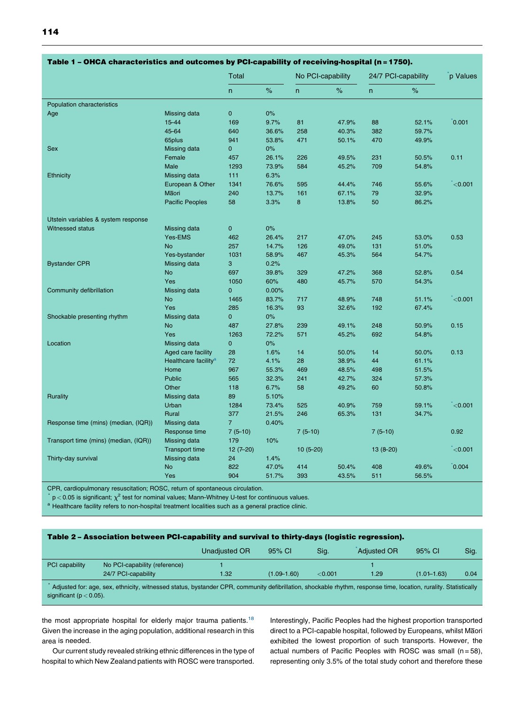<span id="page-3-0"></span>

|                                       |                                  | Table 1 – OHCA characteristics and outcomes by PCI-capability of receiving-hospital (n = 1750). |       |                   |       |                     |       |              |
|---------------------------------------|----------------------------------|-------------------------------------------------------------------------------------------------|-------|-------------------|-------|---------------------|-------|--------------|
|                                       |                                  | Total                                                                                           |       | No PCI-capability |       | 24/7 PCI-capability |       | p Values     |
|                                       |                                  | $\mathsf{n}$                                                                                    | $\%$  | n.                | $\%$  | n                   | $\%$  |              |
| <b>Population characteristics</b>     |                                  |                                                                                                 |       |                   |       |                     |       |              |
| Age                                   | Missing data                     | $\mathbf 0$                                                                                     | $0\%$ |                   |       |                     |       |              |
|                                       | 15-44                            | 169                                                                                             | 9.7%  | 81                | 47.9% | 88                  | 52.1% | 0.001        |
|                                       | 45-64                            | 640                                                                                             | 36.6% | 258               | 40.3% | 382                 | 59.7% |              |
|                                       | 65plus                           | 941                                                                                             | 53.8% | 471               | 50.1% | 470                 | 49.9% |              |
| <b>Sex</b>                            | Missing data                     | $\mathbf{0}$                                                                                    | 0%    |                   |       |                     |       |              |
|                                       | Female                           | 457                                                                                             | 26.1% | 226               | 49.5% | 231                 | 50.5% | 0.11         |
|                                       | Male                             | 1293                                                                                            | 73.9% | 584               | 45.2% | 709                 | 54.8% |              |
| Ethnicity                             | Missing data                     | 111                                                                                             | 6.3%  |                   |       |                     |       |              |
|                                       | European & Other                 | 1341                                                                                            | 76.6% | 595               | 44.4% | 746                 | 55.6% | < 0.001      |
|                                       | Maori                            | 240                                                                                             | 13.7% | 161               | 67.1% | 79                  | 32.9% |              |
|                                       | <b>Pacific Peoples</b>           | 58                                                                                              | 3.3%  | 8                 | 13.8% | 50                  | 86.2% |              |
| Utstein variables & system response   |                                  |                                                                                                 |       |                   |       |                     |       |              |
| <b>Witnessed status</b>               | Missing data                     | $\mathbf 0$                                                                                     | $0\%$ |                   |       |                     |       |              |
|                                       | Yes-EMS                          | 462                                                                                             | 26.4% | 217               | 47.0% | 245                 | 53.0% | 0.53         |
|                                       | <b>No</b>                        | 257                                                                                             | 14.7% | 126               | 49.0% | 131                 | 51.0% |              |
|                                       | Yes-bystander                    | 1031                                                                                            | 58.9% | 467               | 45.3% | 564                 | 54.7% |              |
| <b>Bystander CPR</b>                  | Missing data                     | 3                                                                                               | 0.2%  |                   |       |                     |       |              |
|                                       | <b>No</b>                        | 697                                                                                             | 39.8% | 329               | 47.2% | 368                 | 52.8% | 0.54         |
|                                       | Yes                              | 1050                                                                                            | 60%   | 480               | 45.7% | 570                 | 54.3% |              |
| Community defibrillation              | Missing data                     | $\mathbf{0}$                                                                                    | 0.00% |                   |       |                     |       |              |
|                                       | No                               | 1465                                                                                            | 83.7% | 717               | 48.9% | 748                 | 51.1% | < 0.001      |
|                                       | Yes                              | 285                                                                                             | 16.3% | 93                | 32.6% | 192                 | 67.4% |              |
| Shockable presenting rhythm           | Missing data                     | $\mathbf{0}$                                                                                    | $0\%$ |                   |       |                     |       |              |
|                                       | <b>No</b>                        | 487                                                                                             | 27.8% | 239               | 49.1% | 248                 | 50.9% | 0.15         |
|                                       | Yes                              | 1263                                                                                            | 72.2% | 571               | 45.2% | 692                 | 54.8% |              |
| Location                              | Missing data                     | $\mathbf 0$                                                                                     | 0%    |                   |       |                     |       |              |
|                                       | Aged care facility               | 28                                                                                              | 1.6%  | 14                | 50.0% | 14                  | 50.0% | 0.13         |
|                                       | Healthcare facility <sup>a</sup> | 72                                                                                              | 4.1%  | 28                | 38.9% | 44                  | 61.1% |              |
|                                       | Home                             | 967                                                                                             | 55.3% | 469               | 48.5% | 498                 | 51.5% |              |
|                                       | <b>Public</b>                    | 565                                                                                             | 32.3% | 241               | 42.7% | 324                 | 57.3% |              |
|                                       | Other                            | 118                                                                                             | 6.7%  | 58                | 49.2% | 60                  | 50.8% |              |
| <b>Rurality</b>                       | Missing data                     | 89                                                                                              | 5.10% |                   |       |                     |       |              |
|                                       | Urban                            | 1284                                                                                            | 73.4% | 525               | 40.9% | 759                 | 59.1% | $\leq$ 0.001 |
|                                       | <b>Rural</b>                     | 377                                                                                             | 21.5% | 246               | 65.3% | 131                 | 34.7% |              |
| Response time (mins) (median, (IQR))  | Missing data                     | $\overline{7}$                                                                                  | 0.40% |                   |       |                     |       |              |
|                                       | Response time                    | $7(5-10)$                                                                                       |       | $7(5-10)$         |       | $7(5-10)$           |       | 0.92         |
| Transport time (mins) (median, (IQR)) | Missing data                     | 179                                                                                             | 10%   |                   |       |                     |       |              |
|                                       | <b>Transport time</b>            | $12(7-20)$                                                                                      |       | $10(5-20)$        |       | $13(8-20)$          |       | < 0.001      |
| Thirty-day survival                   | Missing data                     | 24                                                                                              | 1.4%  |                   |       |                     |       |              |
|                                       | <b>No</b>                        | 822                                                                                             | 47.0% | 414               | 50.4% | 408                 | 49.6% | 0.004        |
|                                       | Yes                              | 904                                                                                             | 51.7% | 393               | 43.5% | 511                 | 56.5% |              |
|                                       |                                  |                                                                                                 |       |                   |       |                     |       |              |

#### Table 1 – OHCA characteristics and outcomes by PCI-capability of receiving-hospital (n =1750).

CPR, cardiopulmonary resuscitation; ROSC, return of spontaneous circulation.

 $\sigma$  p < 0.05 is significant;  $\chi^2$  test for nominal values; Mann–Whitney U-test for continuous values.

a Healthcare facility refers to non-hospital treatment localities such as a general practice clinic.

## Table 2 – Association between PCI-capability and survival to thirty-days (logistic regression).

|                                                                                                                                                                  |                               | <b>Unadjusted OR</b> | 95% CI          | Sig.    | <b>Adiusted OR</b> | 95% CI          | Sig. |  |  |  |
|------------------------------------------------------------------------------------------------------------------------------------------------------------------|-------------------------------|----------------------|-----------------|---------|--------------------|-----------------|------|--|--|--|
| PCI capability                                                                                                                                                   | No PCI-capability (reference) |                      |                 |         |                    |                 |      |  |  |  |
|                                                                                                                                                                  | 24/7 PCI-capability           | 1.32                 | $(1.09 - 1.60)$ | < 0.001 | 1.29               | $(1.01 - 1.63)$ | 0.04 |  |  |  |
| Adjusted for: age, sex, ethnicity, witnessed status, bystander CPR, community defibrillation, shockable rhythm, response time, location, rurality. Statistically |                               |                      |                 |         |                    |                 |      |  |  |  |

significant ( $p < 0.05$ ).

the most appropriate hospital for elderly major trauma patients.<sup>[18](#page-5-0)</sup> Given the increase in the aging population, additional research in this area is needed.

Our current study revealed striking ethnic differences in the type of hospital to which New Zealand patients with ROSC were transported.

Interestingly, Pacific Peoples had the highest proportion transported direct to a PCI-capable hospital, followed by Europeans, whilst Maori exhibited the lowest proportion of such transports. However, the actual numbers of Pacific Peoples with ROSC was small  $(n = 58)$ , representing only 3.5% of the total study cohort and therefore these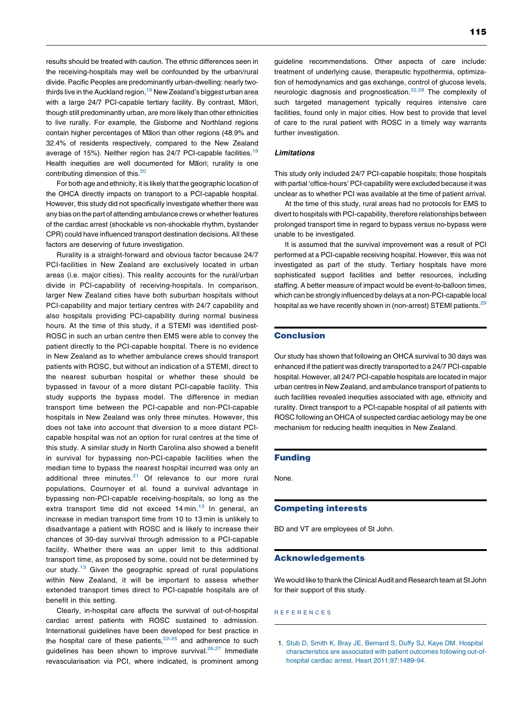<span id="page-4-0"></span>results should be treated with caution. The ethnic differences seen in the receiving-hospitals may well be confounded by the urban/rural divide. Pacific Peoples are predominantly urban-dwelling: nearly two-thirds live in the Auckland region.<sup>[19](#page-5-0)</sup> New Zealand's biggest urban area with a large 24/7 PCI-capable tertiary facility. By contrast, Maori, though still predominantly urban, are more likely than other ethnicities to live rurally. For example, the Gisborne and Northland regions contain higher percentages of Maori than other regions (48.9% and 32.4% of residents respectively, compared to the New Zealand average of 15%). Neither region has 24/7 PCI-capable facilities[.19](#page-5-0) Health inequities are well documented for Maori; rurality is one contributing dimension of this.<sup>[20](#page-5-0)</sup>

For both age and ethnicity, it is likely that the geographic location of the OHCA directly impacts on transport to a PCI-capable hospital. However, this study did not specifically investigate whether there was any bias on the part of attending ambulance crews or whether features of the cardiac arrest (shockable vs non-shockable rhythm, bystander CPR) could have influenced transport destination decisions. All these factors are deserving of future investigation.

Rurality is a straight-forward and obvious factor because 24/7 PCI-facilities in New Zealand are exclusively located in urban areas (i.e. major cities). This reality accounts for the rural/urban divide in PCI-capability of receiving-hospitals. In comparison, larger New Zealand cities have both suburban hospitals without PCI-capability and major tertiary centres with 24/7 capability and also hospitals providing PCI-capability during normal business hours. At the time of this study, if a STEMI was identified post-ROSC in such an urban centre then EMS were able to convey the patient directly to the PCI-capable hospital. There is no evidence in New Zealand as to whether ambulance crews should transport patients with ROSC, but without an indication of a STEMI, direct to the nearest suburban hospital or whether these should be bypassed in favour of a more distant PCI-capable facility. This study supports the bypass model. The difference in median transport time between the PCI-capable and non-PCI-capable hospitals in New Zealand was only three minutes. However, this does not take into account that diversion to a more distant PCIcapable hospital was not an option for rural centres at the time of this study. A similar study in North Carolina also showed a benefit in survival for bypassing non-PCI-capable facilities when the median time to bypass the nearest hospital incurred was only an additional three minutes. $21$  Of relevance to our more rural populations, Cournoyer et al. found a survival advantage in bypassing non-PCI-capable receiving-hospitals, so long as the extra transport time did not exceed  $14$  min.<sup>[13](#page-5-0)</sup> In general, an increase in median transport time from 10 to 13 min is unlikely to disadvantage a patient with ROSC and is likely to increase their chances of 30-day survival through admission to a PCI-capable facility. Whether there was an upper limit to this additional transport time, as proposed by some, could not be determined by our study.<sup>[13](#page-5-0)</sup> Given the geographic spread of rural populations within New Zealand, it will be important to assess whether extended transport times direct to PCI-capable hospitals are of benefit in this setting.

Clearly, in-hospital care affects the survival of out-of-hospital cardiac arrest patients with ROSC sustained to admission. International guidelines have been developed for best practice in the hospital care of these patients. $22-25$  and [adherence](#page-5-0) to such guidelines has been shown to improve survival.<sup>26,27</sup> [Immediate](#page-5-0) revascularisation via PCI, where indicated, is prominent among 115

guideline recommendations. Other aspects of care include: treatment of underlying cause, therapeutic hypothermia, optimization of hemodynamics and gas exchange, control of glucose levels, neurologic diagnosis and prognostication.<sup>22,28</sup> The [complexity](#page-5-0) of such targeted management typically requires intensive care facilities, found only in major cities. How best to provide that level of care to the rural patient with ROSC in a timely way warrants further investigation.

#### **Limitations**

This study only included 24/7 PCI-capable hospitals; those hospitals with partial 'office-hours' PCI-capability were excluded because it was unclear as to whether PCI was available at the time of patient arrival.

At the time of this study, rural areas had no protocols for EMS to divert to hospitals with PCI-capability, therefore relationships between prolonged transport time in regard to bypass versus no-bypass were unable to be investigated.

It is assumed that the survival improvement was a result of PCI performed at a PCI-capable receiving hospital. However, this was not investigated as part of the study. Tertiary hospitals have more sophisticated support facilities and better resources, including staffing. A better measure of impact would be event-to-balloon times, which can be strongly influenced by delays at a non-PCI-capable local hospital as we have recently shown in (non-arrest) STEMI patients.<sup>[29](#page-5-0)</sup>

#### Conclusion

Our study has shown that following an OHCA survival to 30 days was enhanced if the patient was directly transported to a 24/7 PCI-capable hospital. However, all 24/7 PCI-capable hospitals are located in major urban centres in New Zealand, and ambulance transport of patients to such facilities revealed inequities associated with age, ethnicity and rurality. Direct transport to a PCI-capable hospital of all patients with ROSC following an OHCA of suspected cardiac aetiology may be one mechanism for reducing health inequities in New Zealand.

### Funding

None.

#### Competing interests

BD and VT are employees of St John.

#### Acknowledgements

We would like to thank the Clinical Audit and Research team at St John for their support of this study.

#### R E F E R E N C E S

1. Stub D, Smith K, Bray JE, Bernard S, Duffy SJ, Kaye DM. [Hospital](http://refhub.elsevier.com/S0300-9572(19)30498-8/sbref0005) [characteristics](http://refhub.elsevier.com/S0300-9572(19)30498-8/sbref0005) are associated with patient outcomes following out-ofhospital cardiac arrest. Heart [2011;97:1489](http://refhub.elsevier.com/S0300-9572(19)30498-8/sbref0005)–94.